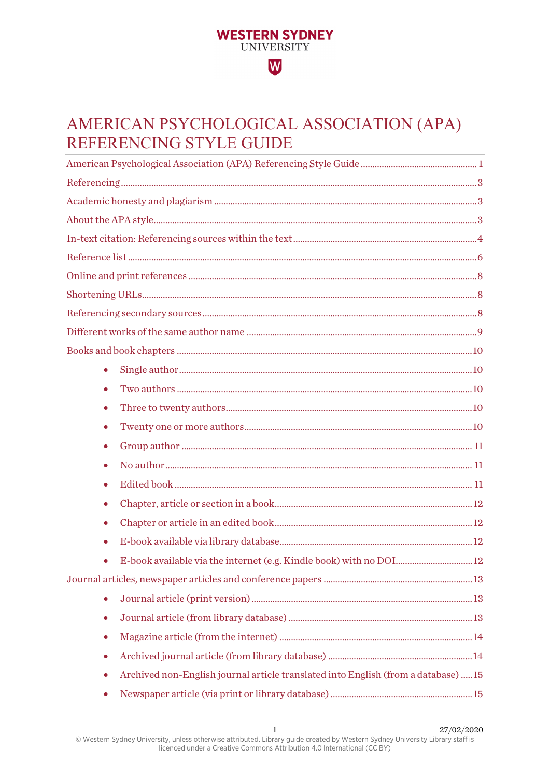# <span id="page-0-0"></span>AMERICAN PSYCHOLOGICAL ASSOCIATION (APA) REFERENCING STYLE GUIDE

**WESTERN SYDNEY** UNIVERSITY

 $|\overline{\mathsf{W}}|$ 

| $\bullet$                                                                                      |  |
|------------------------------------------------------------------------------------------------|--|
| ۰                                                                                              |  |
| ۰                                                                                              |  |
| $\bullet$                                                                                      |  |
| $\bullet$                                                                                      |  |
| $\bullet$                                                                                      |  |
| ۰                                                                                              |  |
| $\bullet$                                                                                      |  |
| ۰                                                                                              |  |
| ۰                                                                                              |  |
| E-book available via the internet (e.g. Kindle book) with no DOI 12                            |  |
|                                                                                                |  |
| $\bullet$                                                                                      |  |
| $\bullet$                                                                                      |  |
| $\bullet$                                                                                      |  |
| $\bullet$                                                                                      |  |
| Archived non-English journal article translated into English (from a database) 15<br>$\bullet$ |  |
| $\bullet$                                                                                      |  |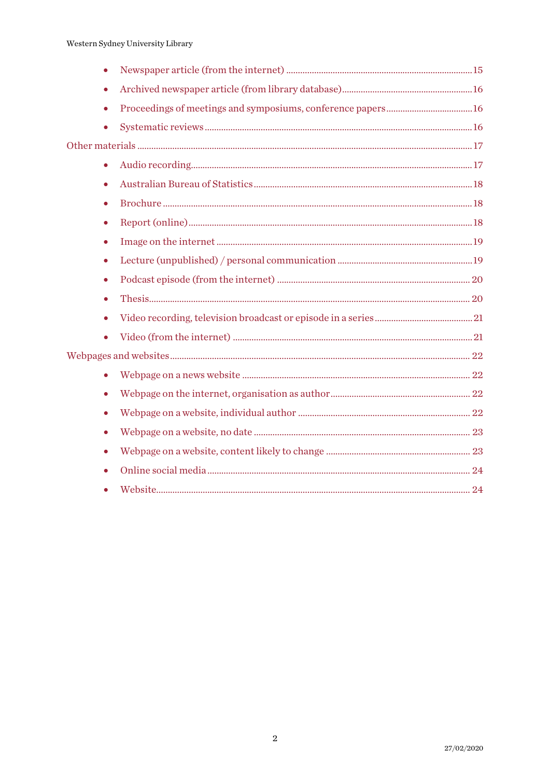| $\bullet$ |  |
|-----------|--|
| ۰         |  |
| $\bullet$ |  |
| $\bullet$ |  |
|           |  |
| $\bullet$ |  |
| $\bullet$ |  |
| $\bullet$ |  |
| ٠         |  |
| $\bullet$ |  |
| $\bullet$ |  |
| $\bullet$ |  |
| $\bullet$ |  |
| $\bullet$ |  |
| $\bullet$ |  |
|           |  |
| $\bullet$ |  |
| $\bullet$ |  |
| $\bullet$ |  |
| $\bullet$ |  |
| $\bullet$ |  |
| $\bullet$ |  |
|           |  |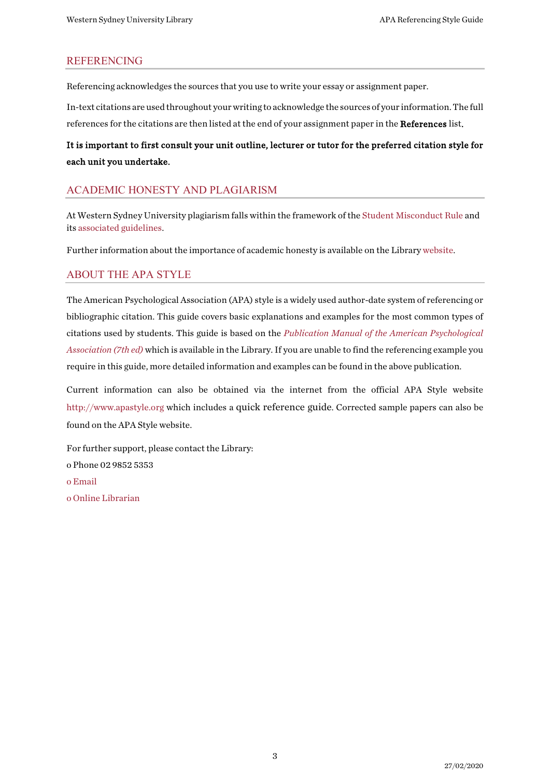#### <span id="page-2-0"></span>REFERENCING

Referencing acknowledges the sources that you use to write your essay or assignment paper.

In-text citations are used throughout your writing to acknowledge the sources of your information. The full references for the citations are then listed at the end of your assignment paper in the References list.

## It is important to first consult your unit outline, lecturer or tutor for the preferred citation style for each unit you undertake.

#### <span id="page-2-1"></span>ACADEMIC HONESTY AND PLAGIARISM

At Western Sydney University plagiarism falls within the framework of th[e Student Misconduct Rule](https://policies.westernsydney.edu.au/document/view.current.php?id=304) and it[s associated guidelines.](https://policies.westernsydney.edu.au/document/associated-information.php?id=304)

Further information about the importance of academic honesty is available on the Library [website.](http://library.westernsydney.edu.au/main/guides/turnitin/academic-honesty)

#### <span id="page-2-2"></span>ABOUT THE APA STYLE

The American Psychological Association (APA) style is a widely used author-date system of referencing or bibliographic citation. This guide covers basic explanations and examples for the most common types of citations used by students. This guide is based on the *[Publication Manual of the American Psychological](https://west-sydney-primo.hosted.exlibrisgroup.com/permalink/f/1iaekk7/UWS-ALMA21261349530001571)  [Association](https://west-sydney-primo.hosted.exlibrisgroup.com/permalink/f/1iaekk7/UWS-ALMA21261349530001571) (7th ed)* which is available in the Library. If you are unable to find the referencing example you require in this guide, more detailed information and examples can be found in the above publication.

Current information can also be obtained via the internet from the official APA Style website [http://www.apastyle.org](http://www.apastyle.org/) which includes a quick reference guide. Corrected sample papers can also be found on the APA Style website.

For further support, please contact the Library: o Phone 02 9852 5353 o [Email](http://answers.library.westernsydney.edu.au/form.php) [o Online Librarian](http://library.westernsydney.edu.au/main/help/contact-us)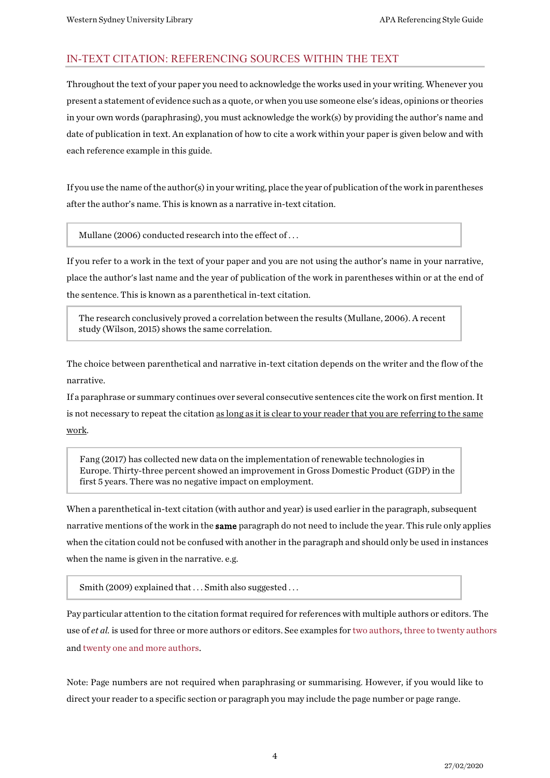#### <span id="page-3-0"></span>IN-TEXT CITATION: REFERENCING SOURCES WITHIN THE TEXT

Throughout the text of your paper you need to acknowledge the works used in your writing. Whenever you present a statement of evidence such as a quote, or when you use someone else's ideas, opinions or theories in your own words (paraphrasing), you must acknowledge the work(s) by providing the author's name and date of publication in text. An explanation of how to cite a work within your paper is given below and with each reference example in this guide.

If you use the name of the author(s) in your writing, place the year of publication of the work in parentheses after the author's name. This is known as a narrative in-text citation.

Mullane (2006) conducted research into the effect of . . .

If you refer to a work in the text of your paper and you are not using the author's name in your narrative, place the author's last name and the year of publication of the work in parentheses within or at the end of the sentence. This is known as a parenthetical in-text citation.

The research conclusively proved a correlation between the results (Mullane, 2006). A recent study (Wilson, 2015) shows the same correlation.

The choice between parenthetical and narrative in-text citation depends on the writer and the flow of the narrative.

If a paraphrase or summary continues over several consecutive sentences cite the work on first mention. It is not necessary to repeat the citation as long as it is clear to your reader that you are referring to the same work.

Fang (2017) has collected new data on the implementation of renewable technologies in Europe. Thirty-three percent showed an improvement in Gross Domestic Product (GDP) in the first 5 years. There was no negative impact on employment.

When a parenthetical in-text citation (with author and year) is used earlier in the paragraph, subsequent narrative mentions of the work in the **same** paragraph do not need to include the year. This rule only applies when the citation could not be confused with another in the paragraph and should only be used in instances when the name is given in the narrative. e.g.

Smith (2009) explained that ... Smith also suggested ...

Pay particular attention to the citation format required for references with multiple authors or editors. The use of *et al.* is used for three or more authors or editors. See examples for [two authors,](#page-9-2) [three to twenty authors](#page-9-3) an[d twenty one and more authors.](#page-9-4)

Note: Page numbers are not required when paraphrasing or summarising. However, if you would like to direct your reader to a specific section or paragraph you may include the page number or page range.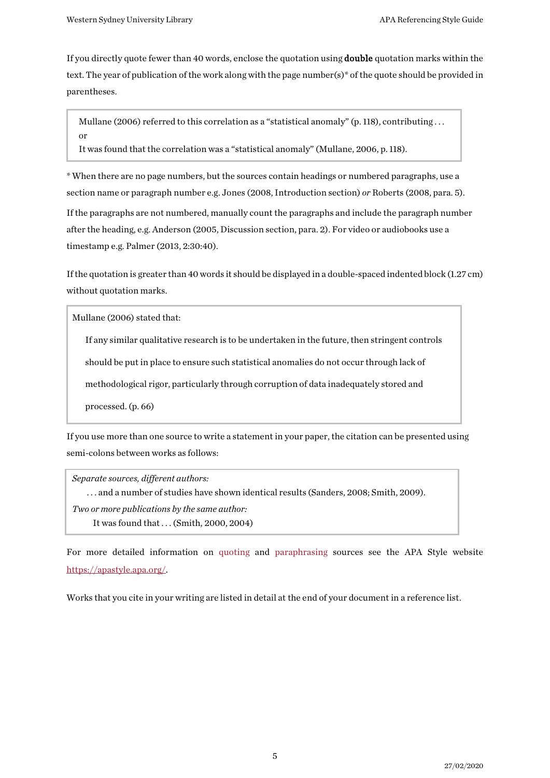If you directly quote fewer than 40 words, enclose the quotation using double quotation marks within the text. The year of publication of the work along with the page number(s)\* of the quote should be provided in parentheses.

Mullane (2006) referred to this correlation as a "statistical anomaly" (p. 118), contributing ... or

It was found that the correlation was a "statistical anomaly" (Mullane, 2006, p. 118).

\* When there are no page numbers, but the sources contain headings or numbered paragraphs, use a section name or paragraph number e.g. Jones (2008, Introduction section) *or* Roberts (2008, para. 5). If the paragraphs are not numbered, manually count the paragraphs and include the paragraph number after the heading, e.g. Anderson (2005, Discussion section, para. 2). For video or audiobooks use a timestamp e.g. Palmer (2013, 2:30:40).

If the quotation is greater than 40 words it should be displayed in a double-spaced indented block (1.27 cm) without quotation marks.

Mullane (2006) stated that:

If any similar qualitative research is to be undertaken in the future, then stringent controls

should be put in place to ensure such statistical anomalies do not occur through lack of

methodological rigor, particularly through corruption of data inadequately stored and

processed. (p. 66)

If you use more than one source to write a statement in your paper, the citation can be presented using semi-colons between works as follows:

*Separate sources, different authors:* . . . and a number of studies have shown identical results (Sanders, 2008; Smith, 2009). *Two or more publications by the same author:* It was found that . . .(Smith, 2000, 2004)

For more detailed information on [quoting](https://apastyle.apa.org/style-grammar-guidelines/citations/quotations) and [paraphrasing](https://apastyle.apa.org/style-grammar-guidelines/citations/paraphrasing) sources see the APA Style website [https://apastyle.apa.org/.](https://apastyle.apa.org/)

Works that you cite in your writing are listed in detail at the end of your document in a reference list.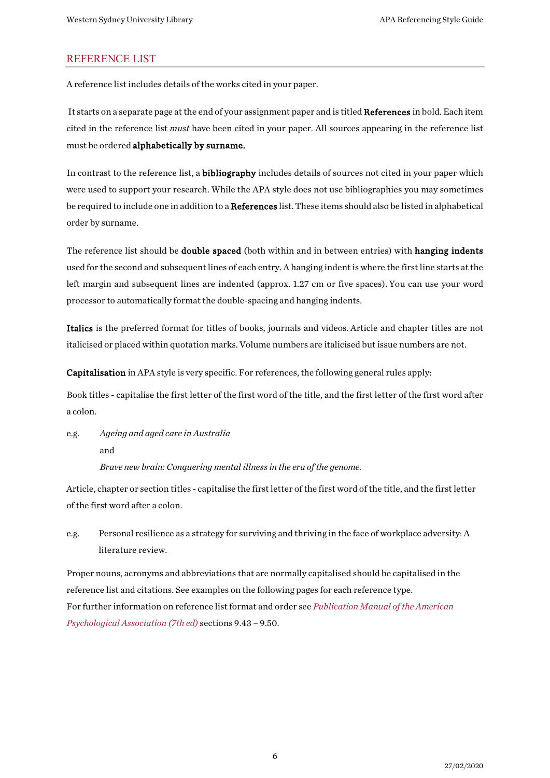#### <span id="page-5-0"></span>REFERENCE LIST

A reference list includes details of the works cited in your paper.

It starts on a separate page at the end of your assignment paper and is titled References in bold. Each item cited in the reference list *must* have been cited in your paper. All sources appearing in the reference list must be ordered alphabetically by surname.

In contrast to the reference list, a bibliography includes details of sources not cited in your paper which were used to support your research. While the APA style does not use bibliographies you may sometimes be required to include one in addition to a References list. These items should also be listed in alphabetical order by surname.

The reference list should be **double spaced** (both within and in between entries) with **hanging indents** used for the second and subsequent lines of each entry. A hanging indent is where the firstline starts at the left margin and subsequent lines are indented (approx. 1.27 cm or five spaces). You can use your word processor to automatically format the double-spacing and hanging indents.

Italics is the preferred format for titles of books, journals and videos. Article and chapter titles are not italicised or placed within quotation marks. Volume numbers are italicised but issue numbers are not.

Capitalisation in APA style is very specific. For references, the following general rules apply:

Book titles - capitalise the first letter of the first word of the title, and the first letter of the first word after a colon.

e.g. *Ageing and aged care in Australia* and *Brave new brain: Conquering mental illness in the era of the genome.*

Article, chapter or section titles - capitalise the first letter of the first word of the title, and the first letter of the first word after a colon.

e.g. Personal resilience as a strategy for surviving and thriving in the face of workplace adversity: A literature review.

Proper nouns, acronyms and abbreviations that are normally capitalised should be capitalised in the reference list and citations. See examples on the following pages for each reference type. For further information on reference list format and order see *[Publication Manual of the American](https://west-sydney-primo.hosted.exlibrisgroup.com/permalink/f/1iaekk7/UWS-ALMA21261349530001571)  [Psychological Association \(7th ed\)](https://west-sydney-primo.hosted.exlibrisgroup.com/permalink/f/1iaekk7/UWS-ALMA21261349530001571)* sections 9.43 – 9.50.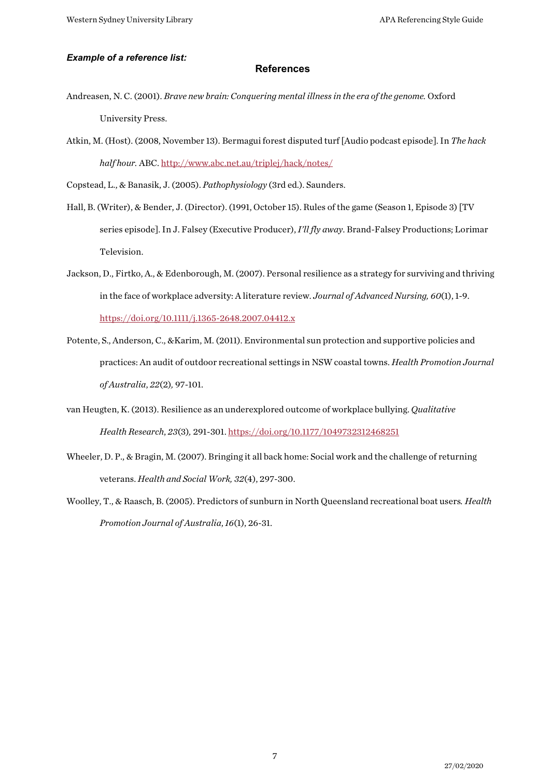#### *Example of a reference list:*

#### **References**

- Andreasen, N. C. (2001). *Brave new brain: Conquering mental illness in the era of the genome.* Oxford University Press.
- Atkin, M. (Host). (2008, November 13). Bermagui forest disputed turf [Audio podcast episode]. In *The hack half hour.* ABC[. http://www.abc.net.au/triplej/hack/notes/](http://www.abc.net.au/triplej/hack/notes/)

Copstead, L., & Banasik, J. (2005). *Pathophysiology* (3rd ed.). Saunders.

- Hall, B. (Writer), & Bender, J. (Director). (1991, October 15). Rules of the game (Season 1, Episode 3) [TV series episode]. In J. Falsey (Executive Producer), *I'll fly away*. Brand-Falsey Productions; Lorimar Television.
- Jackson, D., Firtko, A., & Edenborough, M. (2007). Personal resilience as a strategy for surviving and thriving in the face of workplace adversity: A literature review. *Journal of Advanced Nursing, 60*(1), 1-9. <https://doi.org/10.1111/j.1365-2648.2007.04412.x>
- Potente, S., Anderson, C., &Karim, M. (2011). Environmental sun protection and supportive policies and practices: An audit of outdoor recreational settings in NSW coastal towns. *Health Promotion Journal of Australia*, *22*(2)*,* 97-101.
- van Heugten, K. (2013). Resilience as an underexplored outcome of workplace bullying. *Qualitative Health Research*, *23*(3)*,* 291-301[. https://doi.org/10.1177/1049732312468251](https://doi.org/10.1177/1049732312468251)
- Wheeler, D. P., & Bragin, M. (2007). Bringing it all back home: Social work and the challenge of returning veterans. *Health and Social Work, 32*(4), 297-300.
- Woolley, T., & Raasch, B. (2005). Predictors of sunburn in North Queensland recreational boat users*. Health Promotion Journal of Australia*, *16*(1), 26-31.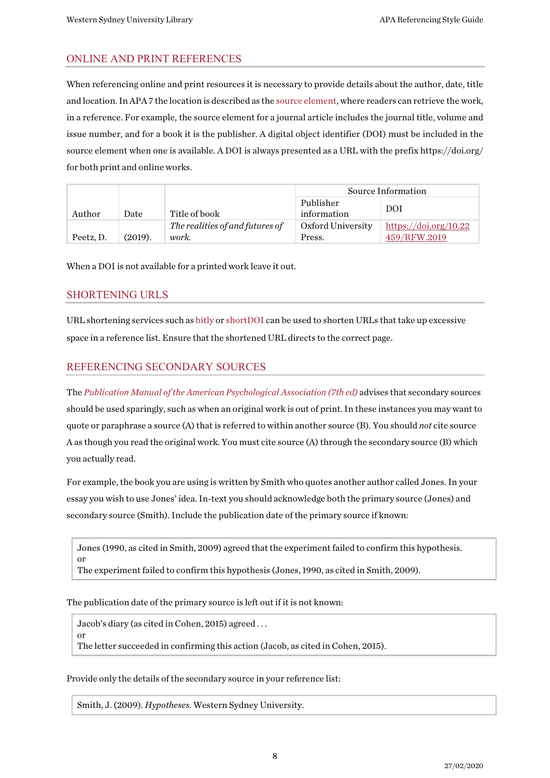#### <span id="page-7-0"></span>ONLINE AND PRINT REFERENCES

When referencing online and print resources it is necessary to provide details about the author, date, title and location. In APA 7 the location is described as th[e source element,](https://apastyle.apa.org/style-grammar-guidelines/references/elements-list-entry#source) where readers can retrieve the work, in a reference. For example, the source element for a journal article includes the journal title, volume and issue number, and for a book it is the publisher. A digital object identifier (DOI) must be included in the source element when one is available. A DOI is always presented as a URL with the prefix https://doi.org/ for both print and online works.

|           |         | Source Information              |                   |                       |
|-----------|---------|---------------------------------|-------------------|-----------------------|
|           |         |                                 | Publisher         | DOI                   |
| Author    | )ate    | Title of book                   | information       |                       |
|           |         | The realities of and futures of | Oxford University | https://doi.org/10.22 |
| Peetz, D. | (2019). | work.                           | Press.            | 459/RFW.2019          |

When a DOI is not available for a printed work leave it out.

#### <span id="page-7-1"></span>SHORTENING URLS

URL shortening services such a[s bitly](https://bitly.com/) or [shortDOI](http://shortdoi.org/) can be used to shorten URLs that take up excessive space in a reference list. Ensure that the shortened URL directs to the correct page.

## <span id="page-7-2"></span>REFERENCING SECONDARY SOURCES

The *Publication Manual [of the American Psychological Association \(7th](https://west-sydney-primo.hosted.exlibrisgroup.com/permalink/f/1vt0uuc/UWS-ALMA21261349530001571) ed)* advises that secondary sources should be used sparingly, such as when an original work is out of print. In these instances you may want to quote or paraphrase a source (A) that is referred to within another source (B). You should *not* cite source A as though you read the original work. You must cite source (A) through the secondary source (B) which you actually read.

For example, the book you are using is written by Smith who quotes another author called Jones. In your essay you wish to use Jones' idea. In-text you should acknowledge both the primary source (Jones) and secondary source (Smith). Include the publication date of the primary source if known:

Jones (1990, as cited in Smith, 2009) agreed that the experiment failed to confirm this hypothesis. or The experiment failed to confirm this hypothesis (Jones, 1990, as cited in Smith, 2009).

The publication date of the primary source is left out if it is not known:

Jacob's diary (as cited in Cohen, 2015) agreed . . .

or The letter succeeded in confirming this action (Jacob, as cited in Cohen, 2015).

Provide only the details of the secondary source in your reference list:

Smith, J. (2009). *Hypotheses.* Western Sydney University.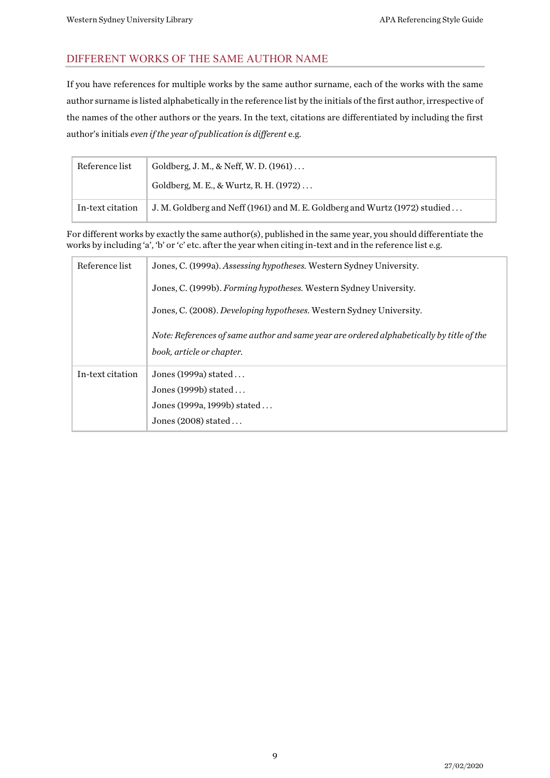## <span id="page-8-0"></span>DIFFERENT WORKS OF THE SAME AUTHOR NAME

If you have references for multiple works by the same author surname, each of the works with the same author surname is listed alphabetically in the reference list by the initials of the first author, irrespective of the names of the other authors or the years. In the text, citations are differentiated by including the first author's initials *even if the year of publication is different* e.g.

| Reference list   | Goldberg, J. M., & Neff, W. D. $(1961)$                                    |
|------------------|----------------------------------------------------------------------------|
|                  | Goldberg, M. E., & Wurtz, R. H. (1972)                                     |
| In-text citation | J. M. Goldberg and Neff (1961) and M. E. Goldberg and Wurtz (1972) studied |

For different works by exactly the same author(s), published in the same year, you should differentiate the works by including 'a', 'b' or 'c' etc. after the year when citing in-text and in the reference list e.g.

| Reference list   | Jones, C. (1999a). Assessing hypotheses. Western Sydney University.                                                   |  |  |
|------------------|-----------------------------------------------------------------------------------------------------------------------|--|--|
|                  | Jones, C. (1999b). Forming hypotheses. Western Sydney University.                                                     |  |  |
|                  | Jones, C. (2008). Developing hypotheses. Western Sydney University.                                                   |  |  |
|                  | Note: References of same author and same year are ordered alphabetically by title of the<br>book, article or chapter. |  |  |
| In-text citation | Jones $(1999a)$ stated                                                                                                |  |  |
|                  | Jones (1999b) stated                                                                                                  |  |  |
|                  | Jones (1999a, 1999b) stated                                                                                           |  |  |
|                  | Jones $(2008)$ stated                                                                                                 |  |  |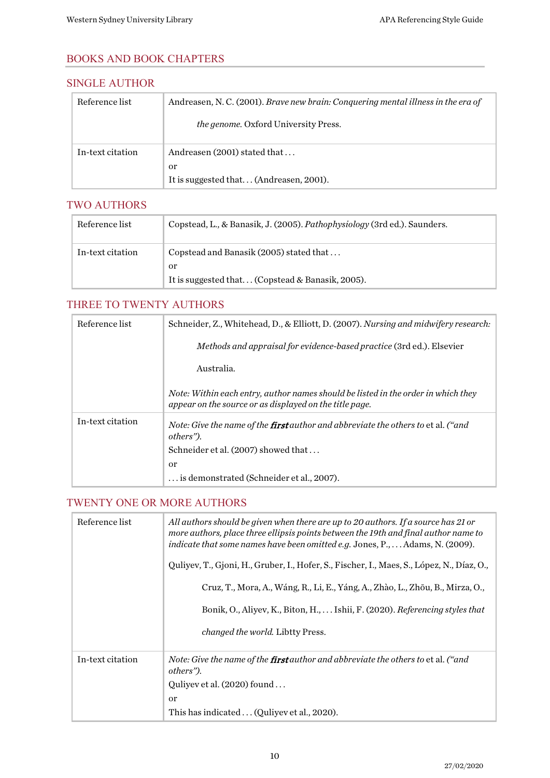#### <span id="page-9-0"></span>BOOKS AND BOOK CHAPTERS

#### <span id="page-9-1"></span>SINGLE AUTHOR

| Reference list   | Andreasen, N. C. (2001). Brave new brain: Conquering mental illness in the era of |
|------------------|-----------------------------------------------------------------------------------|
|                  | <i>the genome.</i> Oxford University Press.                                       |
| In-text citation | Andreasen (2001) stated that                                                      |
|                  | 0r                                                                                |
|                  | It is suggested that (Andreasen, 2001).                                           |

#### <span id="page-9-2"></span>TWO AUTHORS

| Reference list   | Copstead, L., & Banasik, J. (2005). Pathophysiology (3rd ed.). Saunders. |
|------------------|--------------------------------------------------------------------------|
| In-text citation | Copstead and Banasik (2005) stated that                                  |
|                  | or                                                                       |
|                  | It is suggested that (Copstead & Banasik, 2005).                         |

#### <span id="page-9-3"></span>THREE TO TWENTY AUTHORS

| Reference list   | Schneider, Z., Whitehead, D., & Elliott, D. (2007). Nursing and midwifery research:                                                          |
|------------------|----------------------------------------------------------------------------------------------------------------------------------------------|
|                  | Methods and appraisal for evidence-based practice (3rd ed.). Elsevier                                                                        |
|                  | Australia.                                                                                                                                   |
|                  | Note: Within each entry, author names should be listed in the order in which they<br>appear on the source or as displayed on the title page. |
| In-text citation | Note: Give the name of the <b>first</b> author and abbreviate the others to et al. ("and<br>others").                                        |
|                  | Schneider et al. (2007) showed that                                                                                                          |
|                  | <sub>or</sub>                                                                                                                                |
|                  | is demonstrated (Schneider et al., 2007).                                                                                                    |

## <span id="page-9-4"></span>TWENTY ONE OR MORE AUTHORS

| Reference list   | All authors should be given when there are up to 20 authors. If a source has 21 or<br>more authors, place three ellipsis points between the 19th and final author name to<br>indicate that some names have been omitted e.g. Jones, P., Adams, N. (2009). |
|------------------|-----------------------------------------------------------------------------------------------------------------------------------------------------------------------------------------------------------------------------------------------------------|
|                  | Quliyev, T., Gjoni, H., Gruber, I., Hofer, S., Fischer, I., Maes, S., López, N., Díaz, O.,                                                                                                                                                                |
|                  | Cruz, T., Mora, A., Wáng, R., Li, E., Yáng, A., Zhào, L., Zhōu, B., Mirza, O.,                                                                                                                                                                            |
|                  | Bonik, O., Aliyev, K., Biton, H.,  Ishii, F. (2020). Referencing styles that                                                                                                                                                                              |
|                  | <i>changed the world.</i> Libtty Press.                                                                                                                                                                                                                   |
| In-text citation | Note: Give the name of the <b>first</b> author and abbreviate the others to et al. ("and<br>others").                                                                                                                                                     |
|                  | Quliyev et al. $(2020)$ found                                                                                                                                                                                                                             |
|                  | or                                                                                                                                                                                                                                                        |
|                  | This has indicated (Quliyev et al., 2020).                                                                                                                                                                                                                |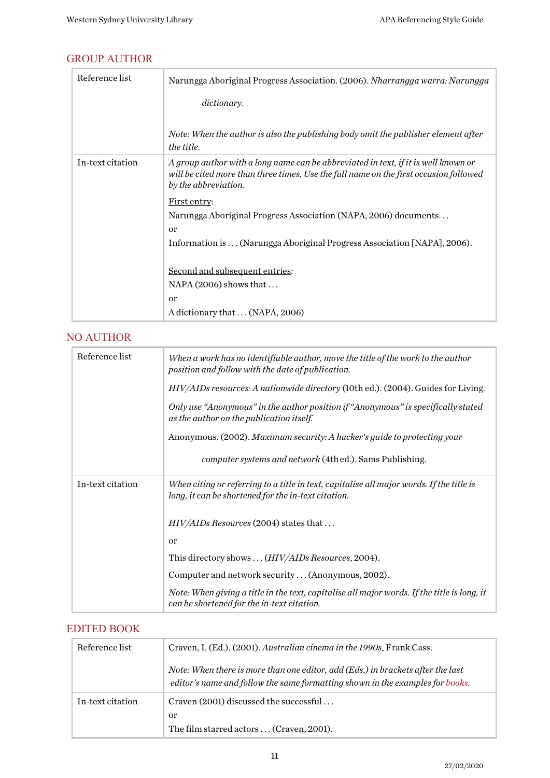## <span id="page-10-0"></span>GROUP AUTHOR

| Reference list   | Narungga Aboriginal Progress Association. (2006). Nharrangga warra: Narungga                                                                                                                        |
|------------------|-----------------------------------------------------------------------------------------------------------------------------------------------------------------------------------------------------|
|                  | dictionary.                                                                                                                                                                                         |
|                  |                                                                                                                                                                                                     |
|                  | Note: When the author is also the publishing body omit the publisher element after<br>the title.                                                                                                    |
| In-text citation | A group author with a long name can be abbreviated in text, if it is well known or<br>will be cited more than three times. Use the full name on the first occasion followed<br>by the abbreviation. |
|                  | First entry:                                                                                                                                                                                        |
|                  | Narungga Aboriginal Progress Association (NAPA, 2006) documents                                                                                                                                     |
|                  | <sub>or</sub>                                                                                                                                                                                       |
|                  | Information is (Narungga Aboriginal Progress Association [NAPA], 2006).                                                                                                                             |
|                  |                                                                                                                                                                                                     |
|                  | Second and subsequent entries:                                                                                                                                                                      |
|                  | $NAPA (2006)$ shows that                                                                                                                                                                            |
|                  | <sub>or</sub>                                                                                                                                                                                       |
|                  | A dictionary that  (NAPA, 2006)                                                                                                                                                                     |

#### <span id="page-10-1"></span>NO AUTHOR

| Reference list   | When a work has no identifiable author, move the title of the work to the author<br>position and follow with the date of publication.           |
|------------------|-------------------------------------------------------------------------------------------------------------------------------------------------|
|                  | HIV/AIDs resources: A nationwide directory (10th ed.). (2004). Guides for Living.                                                               |
|                  | Only use "Anonymous" in the author position if "Anonymous" is specifically stated<br>as the author on the publication itself.                   |
|                  | Anonymous. (2002). Maximum security: A hacker's guide to protecting your                                                                        |
|                  | <i>computer systems and network</i> (4thed.). Sams Publishing.                                                                                  |
| In-text citation | When citing or referring to a title in text, capitalise all major words. If the title is<br>long, it can be shortened for the in-text citation. |
|                  | HIV/AIDs Resources (2004) states that                                                                                                           |
|                  | <sub>or</sub>                                                                                                                                   |
|                  | This directory shows  (HIV/AIDs Resources, 2004).                                                                                               |
|                  | Computer and network security (Anonymous, 2002).                                                                                                |
|                  | Note: When giving a title in the text, capitalise all major words. If the title is long, it<br>can be shortened for the in-text citation.       |

## <span id="page-10-2"></span>EDITED BOOK

| Reference list   | Craven, I. (Ed.). (2001). Australian cinema in the 1990s. Frank Cass.                                                                                            |
|------------------|------------------------------------------------------------------------------------------------------------------------------------------------------------------|
|                  | Note: When there is more than one editor, add (Eds.) in brackets after the last<br>editor's name and follow the same formatting shown in the examples for books. |
| In-text citation | Craven (2001) discussed the successful                                                                                                                           |
|                  | 0r                                                                                                                                                               |
|                  | The film starred actors  (Craven, 2001).                                                                                                                         |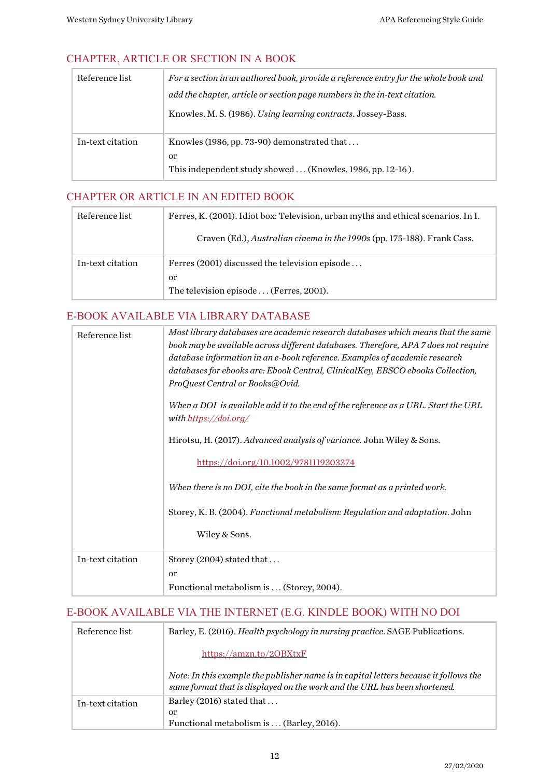## <span id="page-11-0"></span>CHAPTER, ARTICLE OR SECTION IN A BOOK

| Reference list   | For a section in an authored book, provide a reference entry for the whole book and |
|------------------|-------------------------------------------------------------------------------------|
|                  | add the chapter, article or section page numbers in the in-text citation.           |
|                  | Knowles, M. S. (1986). Using learning contracts. Jossey-Bass.                       |
| In-text citation | Knowles (1986, pp. 73-90) demonstrated that                                         |
|                  | <sub>or</sub>                                                                       |
|                  | This independent study showed  (Knowles, 1986, pp. 12-16).                          |

#### <span id="page-11-1"></span>CHAPTER OR ARTICLE IN AN EDITED BOOK

| Reference list   | Ferres, K. (2001). Idiot box: Television, urban myths and ethical scenarios. In I. |
|------------------|------------------------------------------------------------------------------------|
|                  | Craven (Ed.), Australian cinema in the 1990s (pp. 175-188). Frank Cass.            |
| In-text citation | Ferres (2001) discussed the television episode                                     |
|                  | or                                                                                 |
|                  | The television episode  (Ferres, 2001).                                            |

#### <span id="page-11-2"></span>E-BOOK AVAILABLE VIA LIBRARY DATABASE

| Reference list   | Most library databases are academic research databases which means that the same<br>book may be available across different databases. Therefore, APA 7 does not require<br>database information in an e-book reference. Examples of academic research<br>databases for ebooks are: Ebook Central, ClinicalKey, EBSCO ebooks Collection,<br>ProQuest Central or Books@Ovid.<br>When a DOI  is available add it to the end of the reference as a URL. Start the URL<br>with https://doi.org/<br>Hirotsu, H. (2017). Advanced analysis of variance. John Wiley & Sons.<br>https://doi.org/10.1002/9781119303374<br>When there is no DOI, cite the book in the same format as a printed work.<br>Storey, K. B. (2004). Functional metabolism: Regulation and adaptation. John<br>Wiley & Sons. |
|------------------|--------------------------------------------------------------------------------------------------------------------------------------------------------------------------------------------------------------------------------------------------------------------------------------------------------------------------------------------------------------------------------------------------------------------------------------------------------------------------------------------------------------------------------------------------------------------------------------------------------------------------------------------------------------------------------------------------------------------------------------------------------------------------------------------|
|                  |                                                                                                                                                                                                                                                                                                                                                                                                                                                                                                                                                                                                                                                                                                                                                                                            |
| In-text citation | Storey (2004) stated that                                                                                                                                                                                                                                                                                                                                                                                                                                                                                                                                                                                                                                                                                                                                                                  |
|                  | <sub>or</sub>                                                                                                                                                                                                                                                                                                                                                                                                                                                                                                                                                                                                                                                                                                                                                                              |
|                  | Functional metabolism is  (Storey, 2004).                                                                                                                                                                                                                                                                                                                                                                                                                                                                                                                                                                                                                                                                                                                                                  |

#### <span id="page-11-3"></span>E-BOOK AVAILABLE VIA THE INTERNET (E.G. KINDLE BOOK) WITH NO DOI

| Reference list   | Barley, E. (2016). Health psychology in nursing practice. SAGE Publications.                                                                                       |
|------------------|--------------------------------------------------------------------------------------------------------------------------------------------------------------------|
|                  | https://amzn.to/20BXtxF                                                                                                                                            |
|                  | Note: In this example the publisher name is in capital letters because it follows the<br>same format that is displayed on the work and the URL has been shortened. |
| In-text citation | Barley (2016) stated that                                                                                                                                          |
|                  | or                                                                                                                                                                 |
|                  | Functional metabolism is  (Barley, 2016).                                                                                                                          |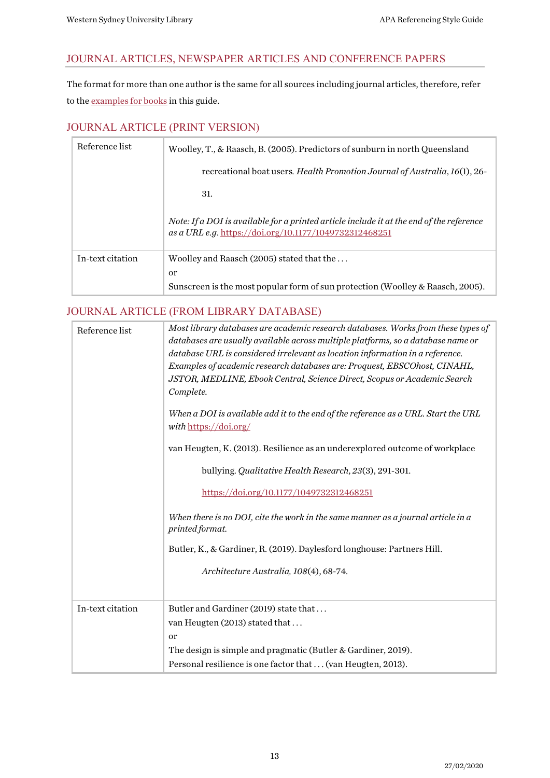#### <span id="page-12-0"></span>JOURNAL ARTICLES, NEWSPAPER ARTICLES AND CONFERENCE PAPERS

The format for more than one author is the same for all sources including journal articles, therefore, refer to th[e examples for books](#page-9-0) in this guide.

#### <span id="page-12-1"></span>JOURNAL ARTICLE (PRINT VERSION)

| Reference list   | Woolley, T., & Raasch, B. (2005). Predictors of sunburn in north Queensland                                                                        |
|------------------|----------------------------------------------------------------------------------------------------------------------------------------------------|
|                  | recreational boat users. <i>Health Promotion Journal of Australia</i> , 16(1), 26-                                                                 |
|                  | 31.                                                                                                                                                |
|                  | Note: If a DOI is available for a printed article include it at the end of the reference<br>as a URL e.g. https://doi.org/10.1177/1049732312468251 |
| In-text citation | Woolley and Raasch (2005) stated that the                                                                                                          |
|                  | <sub>or</sub>                                                                                                                                      |
|                  | Sunscreen is the most popular form of sun protection (Woolley & Raasch, 2005).                                                                     |

#### <span id="page-12-2"></span>JOURNAL ARTICLE (FROM LIBRARY DATABASE)

| Most library databases are academic research databases. Works from these types of<br>databases are usually available across multiple platforms, so a database name or<br>database URL is considered irrelevant as location information in a reference.<br>Examples of academic research databases are: Proquest, EBSCOhost, CINAHL,<br>JSTOR, MEDLINE, Ebook Central, Science Direct, Scopus or Academic Search<br>Complete.<br>When a DOI is available add it to the end of the reference as a URL. Start the URL<br>with https://doi.org/<br>van Heugten, K. (2013). Resilience as an underexplored outcome of workplace<br>bullying. Qualitative Health Research, 23(3), 291-301.<br>https://doi.org/10.1177/1049732312468251<br>When there is no DOI, cite the work in the same manner as a journal article in a<br>printed format.<br>Butler, K., & Gardiner, R. (2019). Daylesford longhouse: Partners Hill.<br>Architecture Australia, 108(4), 68-74. |
|--------------------------------------------------------------------------------------------------------------------------------------------------------------------------------------------------------------------------------------------------------------------------------------------------------------------------------------------------------------------------------------------------------------------------------------------------------------------------------------------------------------------------------------------------------------------------------------------------------------------------------------------------------------------------------------------------------------------------------------------------------------------------------------------------------------------------------------------------------------------------------------------------------------------------------------------------------------|
| Butler and Gardiner (2019) state that<br>van Heugten (2013) stated that<br>or<br>The design is simple and pragmatic (Butler & Gardiner, 2019).<br>Personal resilience is one factor that  (van Heugten, 2013).                                                                                                                                                                                                                                                                                                                                                                                                                                                                                                                                                                                                                                                                                                                                               |
|                                                                                                                                                                                                                                                                                                                                                                                                                                                                                                                                                                                                                                                                                                                                                                                                                                                                                                                                                              |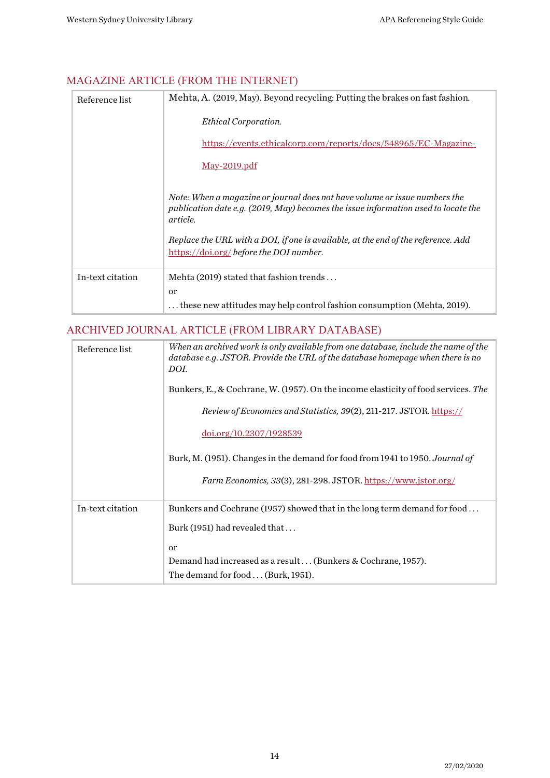## <span id="page-13-0"></span>MAGAZINE ARTICLE (FROM THE INTERNET)

| Reference list   | Mehta, A. (2019, May). Beyond recycling: Putting the brakes on fast fashion.                                                                                                                                                                                                                                |
|------------------|-------------------------------------------------------------------------------------------------------------------------------------------------------------------------------------------------------------------------------------------------------------------------------------------------------------|
|                  | <b>Ethical Corporation.</b>                                                                                                                                                                                                                                                                                 |
|                  | https://events.ethicalcorp.com/reports/docs/548965/EC-Magazine-                                                                                                                                                                                                                                             |
|                  | <u>May-2019.pdf</u>                                                                                                                                                                                                                                                                                         |
|                  | Note: When a magazine or journal does not have volume or issue numbers the<br>publication date e.g. (2019, May) becomes the issue information used to locate the<br>article.<br>Replace the URL with a DOI, if one is available, at the end of the reference. Add<br>https://doi.org/before the DOI number. |
| In-text citation | Mehta (2019) stated that fashion trends                                                                                                                                                                                                                                                                     |
|                  | <sub>or</sub><br>these new attitudes may help control fashion consumption (Mehta, 2019).                                                                                                                                                                                                                    |

## <span id="page-13-1"></span>ARCHIVED JOURNAL ARTICLE (FROM LIBRARY DATABASE)

| Reference list   | When an archived work is only available from one database, include the name of the<br>database e.g. JSTOR. Provide the URL of the database homepage when there is no |
|------------------|----------------------------------------------------------------------------------------------------------------------------------------------------------------------|
|                  | DOI.                                                                                                                                                                 |
|                  | Bunkers, E., & Cochrane, W. (1957). On the income elasticity of food services. The                                                                                   |
|                  | <i>Review of Economics and Statistics, 39(2), 211-217. JSTOR. https://</i>                                                                                           |
|                  | doi.org/10.2307/1928539                                                                                                                                              |
|                  | Burk, M. (1951). Changes in the demand for food from 1941 to 1950. Journal of                                                                                        |
|                  | Farm Economics, 33(3), 281-298. JSTOR. https://www.jstor.org/                                                                                                        |
| In-text citation | Bunkers and Cochrane (1957) showed that in the long term demand for food                                                                                             |
|                  | Burk (1951) had revealed that                                                                                                                                        |
|                  | <sub>or</sub>                                                                                                                                                        |
|                  | Demand had increased as a result  (Bunkers & Cochrane, 1957).                                                                                                        |
|                  | The demand for food  (Burk, 1951).                                                                                                                                   |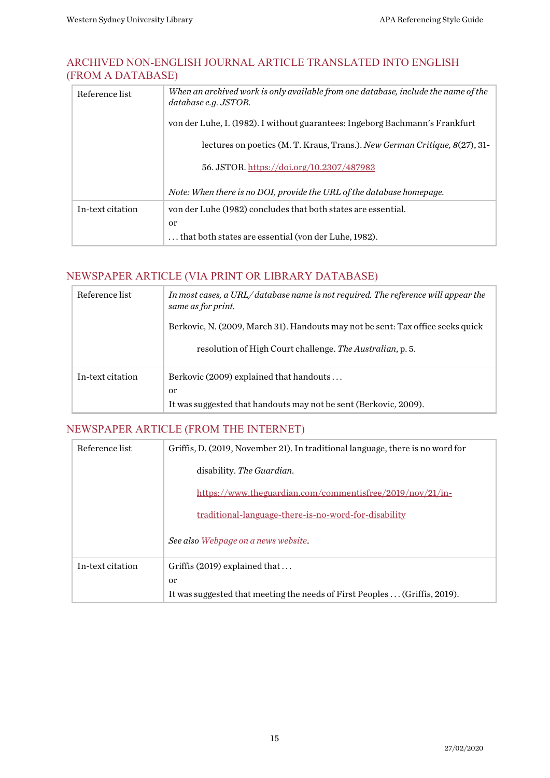#### <span id="page-14-0"></span>ARCHIVED NON-ENGLISH JOURNAL ARTICLE TRANSLATED INTO ENGLISH (FROM A DATABASE)

| Reference list   | When an archived work is only available from one database, include the name of the<br>database e.g. JSTOR. |
|------------------|------------------------------------------------------------------------------------------------------------|
|                  | von der Luhe, I. (1982). I without guarantees: Ingeborg Bachmann's Frankfurt                               |
|                  | lectures on poetics (M. T. Kraus, Trans.). New German Critique, 8(27), 31-                                 |
|                  | 56. JSTOR. https://doi.org/10.2307/487983                                                                  |
|                  | Note: When there is no DOI, provide the URL of the database homepage.                                      |
| In-text citation | von der Luhe (1982) concludes that both states are essential.                                              |
|                  | <sub>or</sub>                                                                                              |
|                  | that both states are essential (von der Luhe, 1982).                                                       |

## <span id="page-14-1"></span>NEWSPAPER ARTICLE (VIA PRINT OR LIBRARY DATABASE)

| Reference list   | In most cases, a URL/database name is not required. The reference will appear the<br>same as for print. |
|------------------|---------------------------------------------------------------------------------------------------------|
|                  | Berkovic, N. (2009, March 31). Handouts may not be sent: Tax office seeks quick                         |
|                  | resolution of High Court challenge. The Australian, p. 5.                                               |
| In-text citation | Berkovic (2009) explained that handouts                                                                 |
|                  | or                                                                                                      |
|                  | It was suggested that handouts may not be sent (Berkovic, 2009).                                        |

#### <span id="page-14-2"></span>NEWSPAPER ARTICLE (FROM THE INTERNET)

| Reference list   | Griffis, D. (2019, November 21). In traditional language, there is no word for |
|------------------|--------------------------------------------------------------------------------|
|                  | disability. The Guardian.                                                      |
|                  | https://www.theguardian.com/commentisfree/2019/nov/21/in-                      |
|                  | <u>traditional-language-there-is-no-word-for-disability</u>                    |
|                  | See also Webpage on a news website.                                            |
| In-text citation | Griffis (2019) explained that                                                  |
|                  | <sub>or</sub>                                                                  |
|                  | It was suggested that meeting the needs of First Peoples  (Griffis, 2019).     |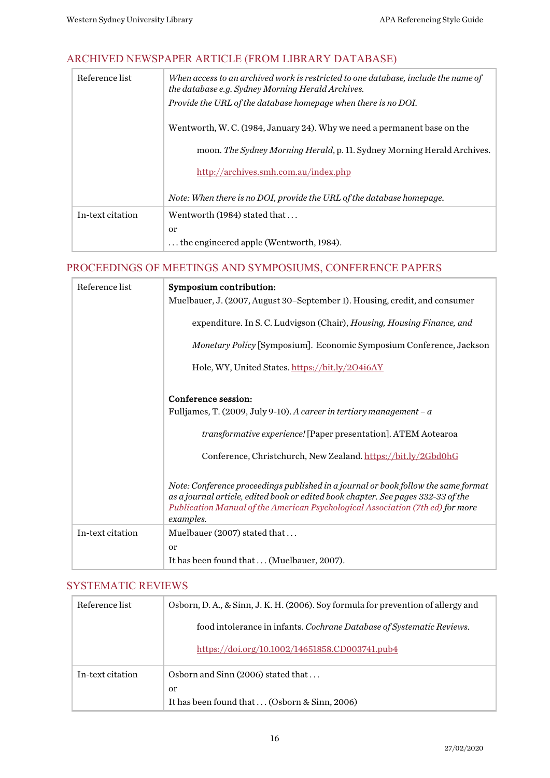## <span id="page-15-0"></span>ARCHIVED NEWSPAPER ARTICLE (FROM LIBRARY DATABASE)

| Reference list   | When access to an archived work is restricted to one database, include the name of<br>the database e.g. Sydney Morning Herald Archives. |
|------------------|-----------------------------------------------------------------------------------------------------------------------------------------|
|                  | Provide the URL of the database homepage when there is no DOI.                                                                          |
|                  | Wentworth, W. C. (1984, January 24). Why we need a permanent base on the                                                                |
|                  | moon. The Sydney Morning Herald, p. 11. Sydney Morning Herald Archives.                                                                 |
|                  | http://archives.smh.com.au/index.php                                                                                                    |
|                  | Note: When there is no DOI, provide the URL of the database homepage.                                                                   |
| In-text citation | Wentworth (1984) stated that                                                                                                            |
|                  | <sub>or</sub>                                                                                                                           |
|                  | the engineered apple (Wentworth, 1984).                                                                                                 |

#### <span id="page-15-1"></span>PROCEEDINGS OF MEETINGS AND SYMPOSIUMS, CONFERENCE PAPERS

| Reference list   | Symposium contribution:                                                                                                                                                                                                                                                |
|------------------|------------------------------------------------------------------------------------------------------------------------------------------------------------------------------------------------------------------------------------------------------------------------|
|                  | Muelbauer, J. (2007, August 30-September 1). Housing, credit, and consumer                                                                                                                                                                                             |
|                  | expenditure. In S. C. Ludvigson (Chair), Housing, Housing Finance, and                                                                                                                                                                                                 |
|                  | Monetary Policy [Symposium]. Economic Symposium Conference, Jackson                                                                                                                                                                                                    |
|                  | Hole, WY, United States. https://bit.ly/204i6AY                                                                                                                                                                                                                        |
|                  | Conference session:                                                                                                                                                                                                                                                    |
|                  | Fulljames, T. (2009, July 9-10). A career in tertiary management – $\alpha$                                                                                                                                                                                            |
|                  | transformative experience! [Paper presentation]. ATEM Aotearoa                                                                                                                                                                                                         |
|                  | Conference, Christchurch, New Zealand. https://bit.ly/2Gbd0hG                                                                                                                                                                                                          |
|                  | Note: Conference proceedings published in a journal or book follow the same format<br>as a journal article, edited book or edited book chapter. See pages 332-33 of the<br>Publication Manual of the American Psychological Association (7th ed) for more<br>examples. |
| In-text citation | Muelbauer (2007) stated that                                                                                                                                                                                                                                           |
|                  | <sub>or</sub>                                                                                                                                                                                                                                                          |
|                  | It has been found that  (Muelbauer, 2007).                                                                                                                                                                                                                             |

#### <span id="page-15-2"></span>SYSTEMATIC REVIEWS

| Reference list   | Osborn, D. A., & Sinn, J. K. H. (2006). Soy formula for prevention of allergy and |
|------------------|-----------------------------------------------------------------------------------|
|                  | food intolerance in infants. Cochrane Database of Systematic Reviews.             |
|                  | https://doi.org/10.1002/14651858.CD003741.pub4                                    |
| In-text citation | Osborn and Sinn (2006) stated that                                                |
|                  | or                                                                                |
|                  | It has been found that  (Osborn & Sinn, 2006)                                     |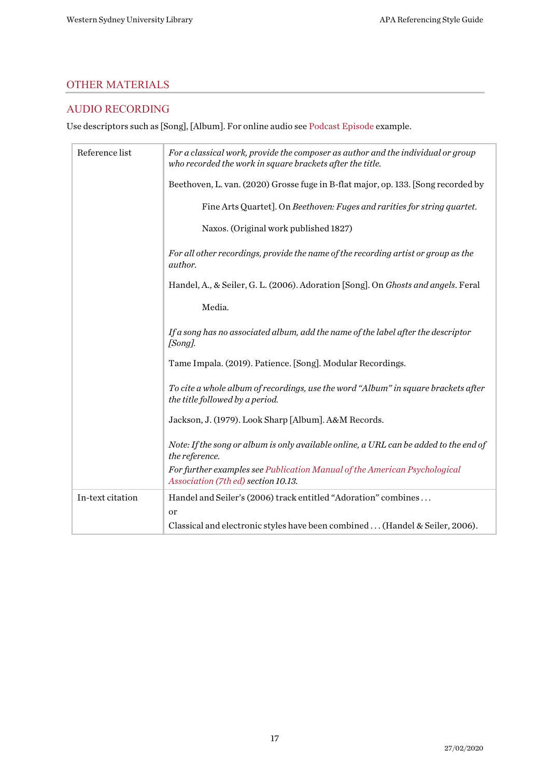## <span id="page-16-0"></span>OTHER MATERIALS

## <span id="page-16-1"></span>AUDIO RECORDING

Use descriptors such as [Song], [Album]. For online audio se[e Podcast Episode](#page-19-2) example.

| Reference list   | For a classical work, provide the composer as author and the individual or group<br>who recorded the work in square brackets after the title. |
|------------------|-----------------------------------------------------------------------------------------------------------------------------------------------|
|                  | Beethoven, L. van. (2020) Grosse fuge in B-flat major, op. 133. [Song recorded by                                                             |
|                  | Fine Arts Quartet]. On Beethoven: Fuges and rarities for string quartet.                                                                      |
|                  | Naxos. (Original work published 1827)                                                                                                         |
|                  | For all other recordings, provide the name of the recording artist or group as the<br><i>author.</i>                                          |
|                  | Handel, A., & Seiler, G. L. (2006). Adoration [Song]. On Ghosts and angels. Feral                                                             |
|                  | Media.                                                                                                                                        |
|                  | If a song has no associated album, add the name of the label after the descriptor<br>$[Song]$ .                                               |
|                  | Tame Impala. (2019). Patience. [Song]. Modular Recordings.                                                                                    |
|                  | To cite a whole album of recordings, use the word "Album" in square brackets after<br>the title followed by a period.                         |
|                  | Jackson, J. (1979). Look Sharp [Album]. A&M Records.                                                                                          |
|                  | Note: If the song or album is only available online, a URL can be added to the end of<br>the reference.                                       |
|                  | For further examples see Publication Manual of the American Psychological<br>Association (7th ed) section 10.13.                              |
| In-text citation | Handel and Seiler's (2006) track entitled "Adoration" combines                                                                                |
|                  | or<br>Classical and electronic styles have been combined (Handel & Seiler, 2006).                                                             |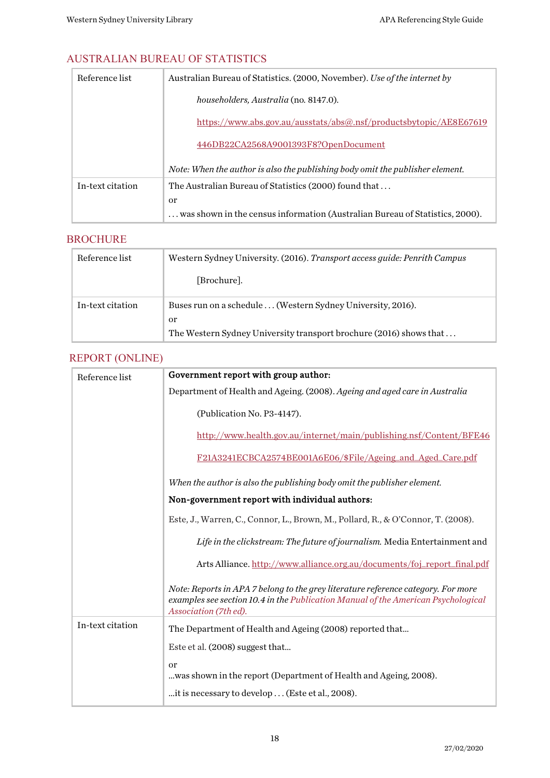## <span id="page-17-0"></span>AUSTRALIAN BUREAU OF STATISTICS

| Reference list   | Australian Bureau of Statistics. (2000, November). Use of the internet by     |
|------------------|-------------------------------------------------------------------------------|
|                  | householders, Australia (no. 8147.0).                                         |
|                  | https://www.abs.gov.au/ausstats/abs@.nsf/productsbytopic/AE8E67619            |
|                  | 446DB22CA2568A9001393F8?OpenDocument                                          |
|                  | Note: When the author is also the publishing body omit the publisher element. |
| In-text citation | The Australian Bureau of Statistics (2000) found that                         |
|                  | or                                                                            |
|                  | was shown in the census information (Australian Bureau of Statistics, 2000).  |

## <span id="page-17-1"></span>BROCHURE

| Reference list   | Western Sydney University. (2016). Transport access guide: Penrith Campus |
|------------------|---------------------------------------------------------------------------|
|                  | [Brochure].                                                               |
| In-text citation | Buses run on a schedule  (Western Sydney University, 2016).               |
|                  | or                                                                        |
|                  | The Western Sydney University transport brochure (2016) shows that        |

## <span id="page-17-2"></span>REPORT (ONLINE)

| Reference list   | Government report with group author:                                                                                                                                                            |
|------------------|-------------------------------------------------------------------------------------------------------------------------------------------------------------------------------------------------|
|                  | Department of Health and Ageing. (2008). Ageing and aged care in Australia                                                                                                                      |
|                  | (Publication No. P3-4147).                                                                                                                                                                      |
|                  | http://www.health.gov.au/internet/main/publishing.nsf/Content/BFE46                                                                                                                             |
|                  | F21A3241ECBCA2574BE001A6E06/\$File/Ageing_and_Aged_Care.pdf                                                                                                                                     |
|                  | When the author is also the publishing body omit the publisher element.                                                                                                                         |
|                  | Non-government report with individual authors:                                                                                                                                                  |
|                  | Este, J., Warren, C., Connor, L., Brown, M., Pollard, R., & O'Connor, T. (2008).                                                                                                                |
|                  | Life in the clickstream: The future of journalism. Media Entertainment and                                                                                                                      |
|                  | Arts Alliance. http://www.alliance.org.au/documents/foj_report_final.pdf                                                                                                                        |
|                  | Note: Reports in APA 7 belong to the grey literature reference category. For more<br>examples see section 10.4 in the Publication Manual of the American Psychological<br>Association (7th ed). |
| In-text citation | The Department of Health and Ageing (2008) reported that                                                                                                                                        |
|                  | Este et al. (2008) suggest that                                                                                                                                                                 |
|                  | or<br>was shown in the report (Department of Health and Ageing, 2008).                                                                                                                          |
|                  | it is necessary to develop  (Este et al., 2008).                                                                                                                                                |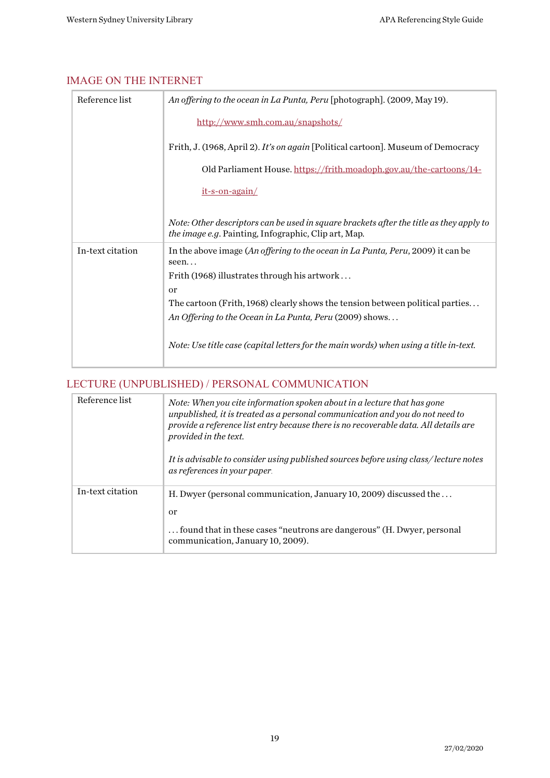## <span id="page-18-0"></span>IMAGE ON THE INTERNET

| Reference list   | An offering to the ocean in La Punta, Peru [photograph]. (2009, May 19).                                                                               |
|------------------|--------------------------------------------------------------------------------------------------------------------------------------------------------|
|                  | http://www.smh.com.au/snapshots/                                                                                                                       |
|                  | Frith, J. (1968, April 2). It's on again [Political cartoon]. Museum of Democracy                                                                      |
|                  | Old Parliament House. https://frith.moadoph.gov.au/the-cartoons/14-                                                                                    |
|                  | it-s-on-again/                                                                                                                                         |
|                  | Note: Other descriptors can be used in square brackets after the title as they apply to<br><i>the image e.g.</i> Painting, Infographic, Clip art, Map. |
| In-text citation | In the above image (An offering to the ocean in La Punta, Peru, 2009) it can be<br>seen                                                                |
|                  | Frith (1968) illustrates through his artwork                                                                                                           |
|                  | or                                                                                                                                                     |
|                  | The cartoon (Frith, 1968) clearly shows the tension between political parties                                                                          |
|                  | An Offering to the Ocean in La Punta, Peru (2009) shows                                                                                                |
|                  | Note: Use title case (capital letters for the main words) when using a title in-text.                                                                  |

## <span id="page-18-1"></span>LECTURE (UNPUBLISHED) / PERSONAL COMMUNICATION

| Reference list   | Note: When you cite information spoken about in a lecture that has gone<br>unpublished, it is treated as a personal communication and you do not need to<br>provide a reference list entry because there is no recoverable data. All details are<br>provided in the text.<br>It is advisable to consider using published sources before using class/lecture notes |
|------------------|-------------------------------------------------------------------------------------------------------------------------------------------------------------------------------------------------------------------------------------------------------------------------------------------------------------------------------------------------------------------|
|                  | as references in your paper.                                                                                                                                                                                                                                                                                                                                      |
| In-text citation | H. Dwyer (personal communication, January 10, 2009) discussed the<br>or                                                                                                                                                                                                                                                                                           |
|                  |                                                                                                                                                                                                                                                                                                                                                                   |
|                  | found that in these cases "neutrons are dangerous" (H. Dwyer, personal<br>communication, January 10, 2009).                                                                                                                                                                                                                                                       |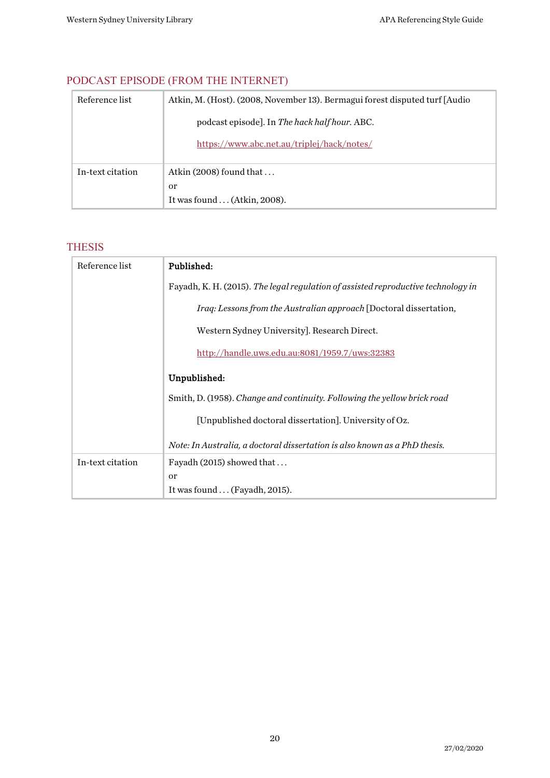| Reference list   | Atkin, M. (Host). (2008, November 13). Bermagui forest disputed turf [Audio] |
|------------------|------------------------------------------------------------------------------|
|                  | podcast episode]. In The hack half hour. ABC.                                |
|                  | https://www.abc.net.au/triplej/hack/notes/                                   |
| In-text citation | Atkin (2008) found that                                                      |
|                  | or                                                                           |
|                  | It was found  (Atkin, 2008).                                                 |

## <span id="page-19-2"></span><span id="page-19-0"></span>PODCAST EPISODE (FROM THE INTERNET)

## <span id="page-19-1"></span>THESIS

| Reference list   | Published:                                                                        |
|------------------|-----------------------------------------------------------------------------------|
|                  | Fayadh, K. H. (2015). The legal regulation of assisted reproductive technology in |
|                  | Iraq: Lessons from the Australian approach [Doctoral dissertation,                |
|                  | Western Sydney University]. Research Direct.                                      |
|                  | http://handle.uws.edu.au:8081/1959.7/uws:32383                                    |
|                  | Unpublished:                                                                      |
|                  | Smith, D. (1958). Change and continuity. Following the yellow brick road          |
|                  | [Unpublished doctoral dissertation]. University of Oz.                            |
|                  | Note: In Australia, a doctoral dissertation is also known as a PhD thesis.        |
| In-text citation | Fayadh $(2015)$ showed that                                                       |
|                  | <sub>or</sub>                                                                     |
|                  | It was found  (Fayadh, 2015).                                                     |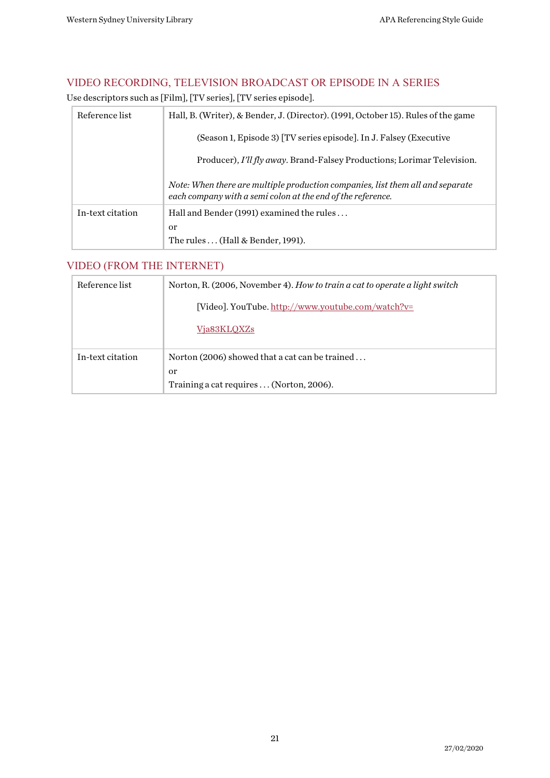## <span id="page-20-0"></span>VIDEO RECORDING, TELEVISION BROADCAST OR EPISODE IN A SERIES

Use descriptors such as [Film], [TV series], [TV series episode].

| Reference list   | Hall, B. (Writer), & Bender, J. (Director). (1991, October 15). Rules of the game                                                             |
|------------------|-----------------------------------------------------------------------------------------------------------------------------------------------|
|                  | (Season 1, Episode 3) [TV series episode]. In J. Falsey (Executive                                                                            |
|                  | Producer), I'll fly away. Brand-Falsey Productions; Lorimar Television.                                                                       |
|                  | Note: When there are multiple production companies, list them all and separate<br>each company with a semi colon at the end of the reference. |
| In-text citation | Hall and Bender (1991) examined the rules                                                                                                     |
|                  | $\alpha$                                                                                                                                      |
|                  | The rules (Hall & Bender, 1991).                                                                                                              |

## <span id="page-20-1"></span>VIDEO (FROM THE INTERNET)

| Reference list   | Norton, R. (2006, November 4). How to train a cat to operate a light switch |
|------------------|-----------------------------------------------------------------------------|
|                  | [Video]. YouTube. http://www.youtube.com/watch?v=                           |
|                  | Via83KLOXZs                                                                 |
| In-text citation | Norton (2006) showed that a cat can be trained                              |
|                  | <sub>or</sub>                                                               |
|                  | Training a cat requires  (Norton, 2006).                                    |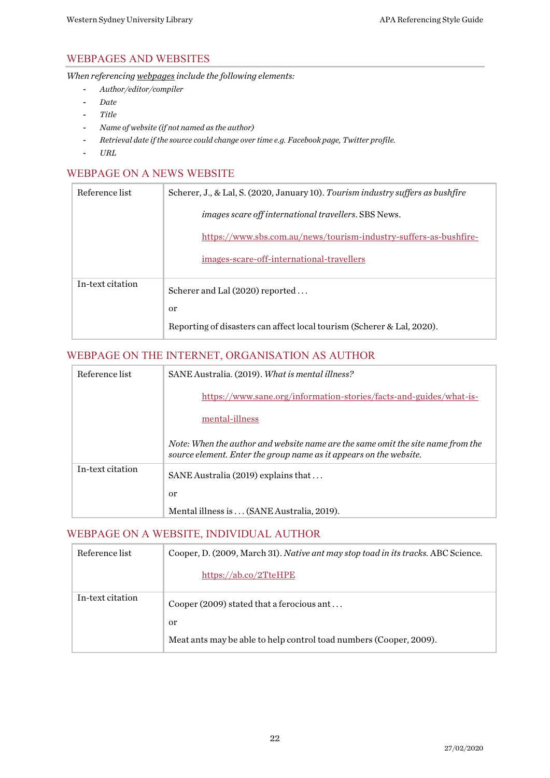## <span id="page-21-0"></span>WEBPAGES AND WEBSITES

*When referencing webpages include the following elements:*

- *Author/editor/compiler*
- *Date*
- *Title*
- *Name of website (if not named as the author)*
- *Retrieval date if the source could change over time e.g. Facebook page, Twitter profile.*
- *URL*

#### <span id="page-21-1"></span>WEBPAGE ON A NEWS WEBSITE

| Reference list   | Scherer, J., & Lal, S. (2020, January 10). Tourism industry suffers as bushfire |
|------------------|---------------------------------------------------------------------------------|
|                  | <i>images scare off international travellers. SBS News.</i>                     |
|                  | https://www.sbs.com.au/news/tourism-industry-suffers-as-bushfire-               |
|                  | images-scare-off-international-travellers                                       |
| In-text citation | Scherer and Lal (2020) reported                                                 |
|                  | <sub>or</sub>                                                                   |
|                  | Reporting of disasters can affect local tourism (Scherer & Lal, 2020).          |

#### <span id="page-21-2"></span>WEBPAGE ON THE INTERNET, ORGANISATION AS AUTHOR

| Reference list   | SANE Australia. (2019). What is mental illness?                                                                                                       |
|------------------|-------------------------------------------------------------------------------------------------------------------------------------------------------|
|                  | https://www.sane.org/information-stories/facts-and-guides/what-is-                                                                                    |
|                  | mental-illness                                                                                                                                        |
|                  | Note: When the author and website name are the same omit the site name from the<br>source element. Enter the group name as it appears on the website. |
| In-text citation | SANE Australia (2019) explains that                                                                                                                   |
|                  | <sub>or</sub>                                                                                                                                         |
|                  | Mental illness is  (SANE Australia, 2019).                                                                                                            |

#### <span id="page-21-3"></span>WEBPAGE ON A WEBSITE, INDIVIDUAL AUTHOR

| Reference list   | Cooper, D. (2009, March 31). Native ant may stop toad in its tracks. ABC Science. |
|------------------|-----------------------------------------------------------------------------------|
|                  | https://ab.co/2TteHPE                                                             |
| In-text citation | Cooper (2009) stated that a ferocious ant                                         |
|                  | or                                                                                |
|                  | Meat ants may be able to help control toad numbers (Cooper, 2009).                |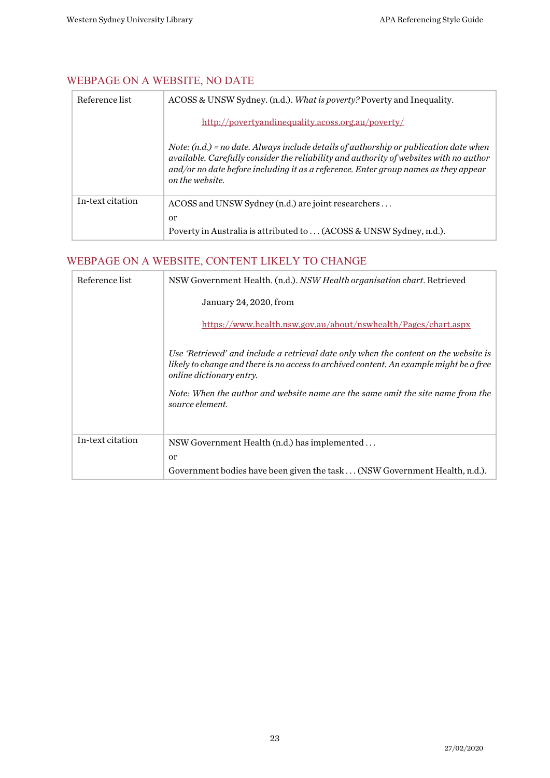## <span id="page-22-0"></span>WEBPAGE ON A WEBSITE, NO DATE

| Reference list   | ACOSS & UNSW Sydney. (n.d.). What is poverty? Poverty and Inequality.                                                                                                                                                                                                                      |
|------------------|--------------------------------------------------------------------------------------------------------------------------------------------------------------------------------------------------------------------------------------------------------------------------------------------|
|                  | http://povertyandinequality.acoss.org.au/poverty/                                                                                                                                                                                                                                          |
|                  | Note: $(n,d)$ = no date. Always include details of authorship or publication date when<br>available. Carefully consider the reliability and authority of websites with no author<br>and/or no date before including it as a reference. Enter group names as they appear<br>on the website. |
| In-text citation | ACOSS and UNSW Sydney (n.d.) are joint researchers<br><sub>or</sub>                                                                                                                                                                                                                        |
|                  | Poverty in Australia is attributed to  (ACOSS & UNSW Sydney, n.d.).                                                                                                                                                                                                                        |

## <span id="page-22-1"></span>WEBPAGE ON A WEBSITE, CONTENT LIKELY TO CHANGE

| Reference list   | NSW Government Health. (n.d.). NSW Health organisation chart. Retrieved                                                                                                                                     |
|------------------|-------------------------------------------------------------------------------------------------------------------------------------------------------------------------------------------------------------|
|                  | January 24, 2020, from                                                                                                                                                                                      |
|                  | https://www.health.nsw.gov.au/about/nswhealth/Pages/chart.aspx                                                                                                                                              |
|                  | Use 'Retrieved' and include a retrieval date only when the content on the website is<br>likely to change and there is no access to archived content. An example might be a free<br>online dictionary entry. |
|                  | Note: When the author and website name are the same omit the site name from the<br>source element.                                                                                                          |
| In-text citation | NSW Government Health (n.d.) has implemented                                                                                                                                                                |
|                  | <sub>or</sub>                                                                                                                                                                                               |
|                  | Government bodies have been given the task (NSW Government Health, n.d.).                                                                                                                                   |